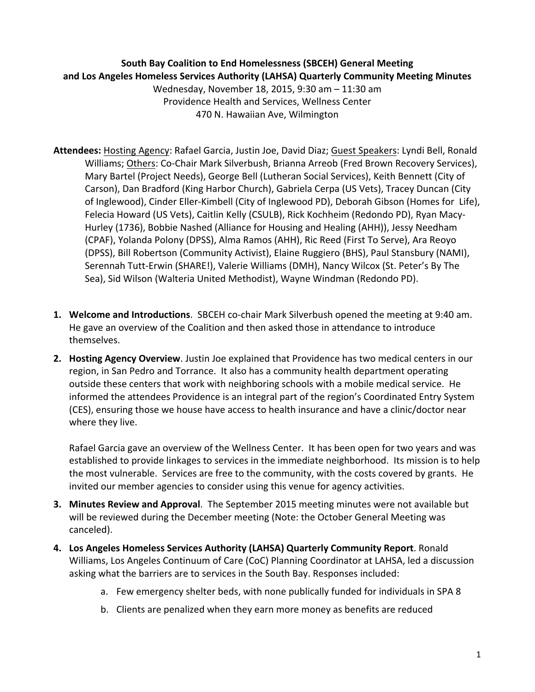## **South Bay Coalition to End Homelessness (SBCEH) General Meeting** and Los Angeles Homeless Services Authority (LAHSA) Quarterly Community Meeting Minutes

Wednesday, November 18, 2015, 9:30 am - 11:30 am Providence Health and Services, Wellness Center 470 N. Hawaiian Ave, Wilmington

- Attendees: Hosting Agency: Rafael Garcia, Justin Joe, David Diaz; Guest Speakers: Lyndi Bell, Ronald Williams; Others: Co-Chair Mark Silverbush, Brianna Arreob (Fred Brown Recovery Services), Mary Bartel (Project Needs), George Bell (Lutheran Social Services), Keith Bennett (City of Carson), Dan Bradford (King Harbor Church), Gabriela Cerpa (US Vets), Tracey Duncan (City of Inglewood), Cinder Eller-Kimbell (City of Inglewood PD), Deborah Gibson (Homes for Life), Felecia Howard (US Vets), Caitlin Kelly (CSULB), Rick Kochheim (Redondo PD), Ryan Macy-Hurley (1736), Bobbie Nashed (Alliance for Housing and Healing (AHH)), Jessy Needham (CPAF), Yolanda Polony (DPSS), Alma Ramos (AHH), Ric Reed (First To Serve), Ara Reoyo (DPSS), Bill Robertson (Community Activist), Elaine Ruggiero (BHS), Paul Stansbury (NAMI), Serennah Tutt-Erwin (SHARE!), Valerie Williams (DMH), Nancy Wilcox (St. Peter's By The Sea), Sid Wilson (Walteria United Methodist), Wayne Windman (Redondo PD).
- **1.** Welcome and Introductions. SBCEH co-chair Mark Silverbush opened the meeting at 9:40 am. He gave an overview of the Coalition and then asked those in attendance to introduce themselves.
- **2.** Hosting Agency Overview. Justin Joe explained that Providence has two medical centers in our region, in San Pedro and Torrance. It also has a community health department operating outside these centers that work with neighboring schools with a mobile medical service. He informed the attendees Providence is an integral part of the region's Coordinated Entry System (CES), ensuring those we house have access to health insurance and have a clinic/doctor near where they live.

Rafael Garcia gave an overview of the Wellness Center. It has been open for two years and was established to provide linkages to services in the immediate neighborhood. Its mission is to help the most vulnerable. Services are free to the community, with the costs covered by grants. He invited our member agencies to consider using this venue for agency activities.

- **3. Minutes Review and Approval**. The September 2015 meeting minutes were not available but will be reviewed during the December meeting (Note: the October General Meeting was canceled).
- 4. Los Angeles Homeless Services Authority (LAHSA) Quarterly Community Report. Ronald Williams, Los Angeles Continuum of Care (CoC) Planning Coordinator at LAHSA, led a discussion asking what the barriers are to services in the South Bay. Responses included:
	- a. Few emergency shelter beds, with none publically funded for individuals in SPA 8
	- b. Clients are penalized when they earn more money as benefits are reduced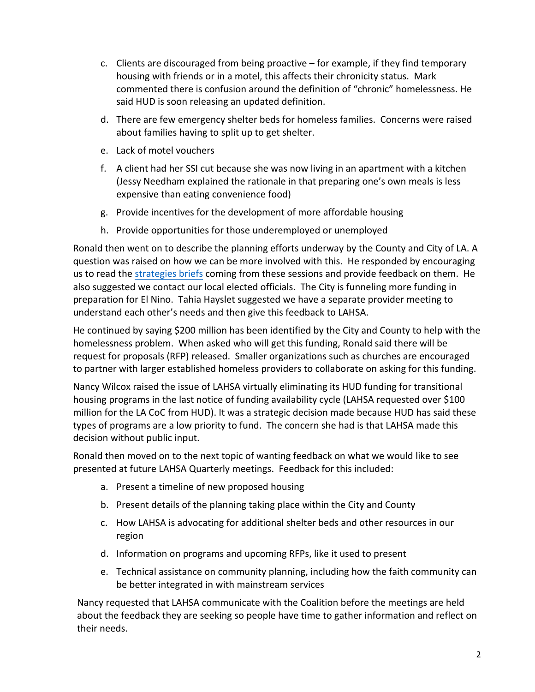- c. Clients are discouraged from being proactive  $-$  for example, if they find temporary housing with friends or in a motel, this affects their chronicity status. Mark commented there is confusion around the definition of "chronic" homelessness. He said HUD is soon releasing an updated definition.
- d. There are few emergency shelter beds for homeless families. Concerns were raised about families having to split up to get shelter.
- e. Lack of motel vouchers
- f. A client had her SSI cut because she was now living in an apartment with a kitchen (Jessy Needham explained the rationale in that preparing one's own meals is less expensive than eating convenience food)
- g. Provide incentives for the development of more affordable housing
- h. Provide opportunities for those underemployed or unemployed

Ronald then went on to describe the planning efforts underway by the County and City of LA. A question was raised on how we can be more involved with this. He responded by encouraging us to read the strategies briefs coming from these sessions and provide feedback on them. He also suggested we contact our local elected officials. The City is funneling more funding in preparation for El Nino. Tahia Hayslet suggested we have a separate provider meeting to understand each other's needs and then give this feedback to LAHSA.

He continued by saying \$200 million has been identified by the City and County to help with the homelessness problem. When asked who will get this funding, Ronald said there will be request for proposals (RFP) released. Smaller organizations such as churches are encouraged to partner with larger established homeless providers to collaborate on asking for this funding.

Nancy Wilcox raised the issue of LAHSA virtually eliminating its HUD funding for transitional housing programs in the last notice of funding availability cycle (LAHSA requested over \$100 million for the LA CoC from HUD). It was a strategic decision made because HUD has said these types of programs are a low priority to fund. The concern she had is that LAHSA made this decision without public input.

Ronald then moved on to the next topic of wanting feedback on what we would like to see presented at future LAHSA Quarterly meetings. Feedback for this included:

- a. Present a timeline of new proposed housing
- b. Present details of the planning taking place within the City and County
- c. How LAHSA is advocating for additional shelter beds and other resources in our region
- d. Information on programs and upcoming RFPs, like it used to present
- e. Technical assistance on community planning, including how the faith community can be better integrated in with mainstream services

Nancy requested that LAHSA communicate with the Coalition before the meetings are held about the feedback they are seeking so people have time to gather information and reflect on their needs.